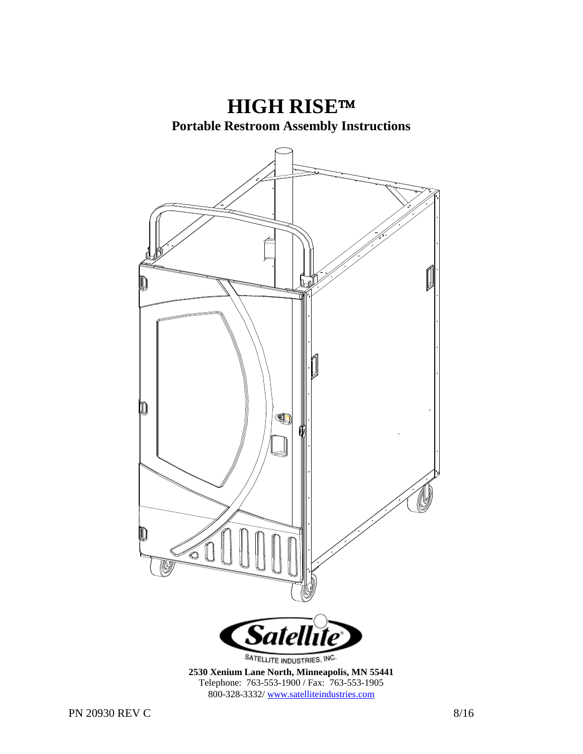**HIGH RISE Portable Restroom Assembly Instructions** n Q *Satellite* SATELLITE INDUSTRIES, INC. **2530 Xenium Lane North, Minneapolis, MN 55441** Telephone: 763-553-1900 / Fax: 763-553-1905 800-328-3332/ www.satelliteindustries.com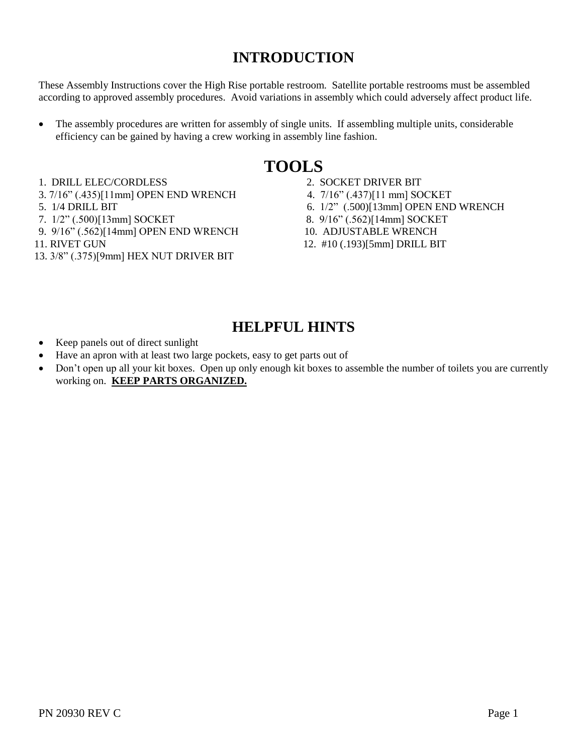### **INTRODUCTION**

These Assembly Instructions cover the High Rise portable restroom. Satellite portable restrooms must be assembled according to approved assembly procedures. Avoid variations in assembly which could adversely affect product life.

 The assembly procedures are written for assembly of single units. If assembling multiple units, considerable efficiency can be gained by having a crew working in assembly line fashion.

### **TOOLS**

- 1. DRILL ELEC/CORDLESS 2. SOCKET DRIVER BIT
- 3. 7/16" (.435)[11mm] OPEN END WRENCH 4. 7/16" (.437)[11 mm] SOCKET
- 
- 
- 9. 9/16" (.562)[14mm] OPEN END WRENCH 10. ADJUSTABLE WRENCH
- 
- 13. 3/8" (.375)[9mm] HEX NUT DRIVER BIT
- 
- 
- 5. 1/4 DRILL BIT 6. 1/2" (.500)[13mm] OPEN END WRENCH
- 7. 1/2" (.500)[13mm] SOCKET 8. 9/16" (.562)[14mm] SOCKET
	-
- 11. RIVET GUN 12. #10 (.193)[5mm] DRILL BIT

### **HELPFUL HINTS**

- Keep panels out of direct sunlight
- Have an apron with at least two large pockets, easy to get parts out of
- Don't open up all your kit boxes. Open up only enough kit boxes to assemble the number of toilets you are currently working on. **KEEP PARTS ORGANIZED.**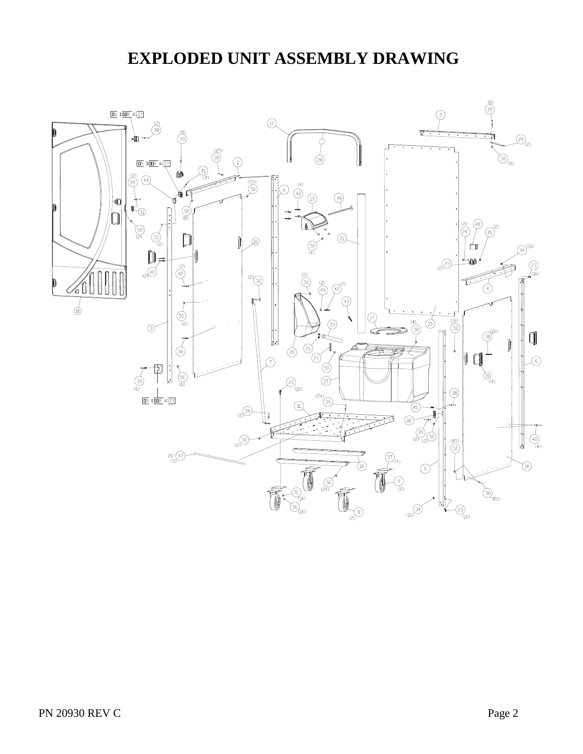## **EXPLODED UNIT ASSEMBLY DRAWING**

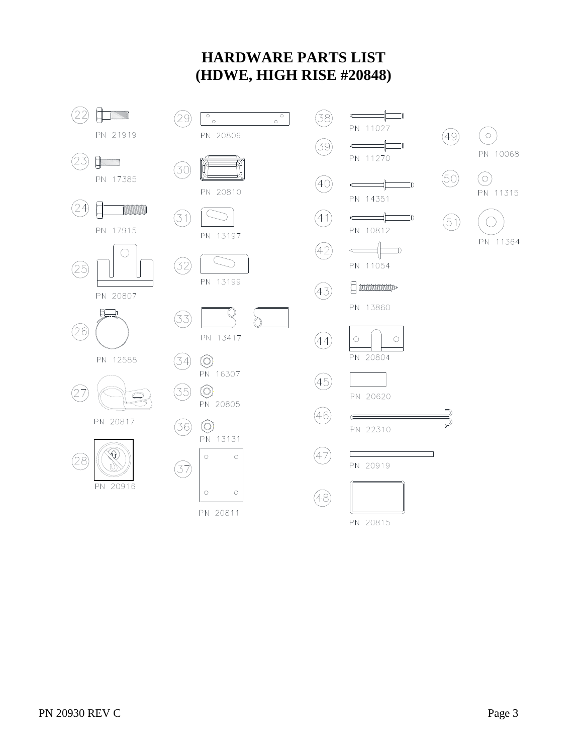### **HARDWARE PARTS LIST (HDWE, HIGH RISE #20848)**





PN 20815

 $(\circ)$ PN 10068  $\odot$ PN 11315

 $(49)$ 

 $\circledcirc$ 

 $(5)$ 

 $\mathbb{D}$ 

 $\exists$ 

 $\Box$ 

 $\bigcirc$ 

 $\left($ PN 11364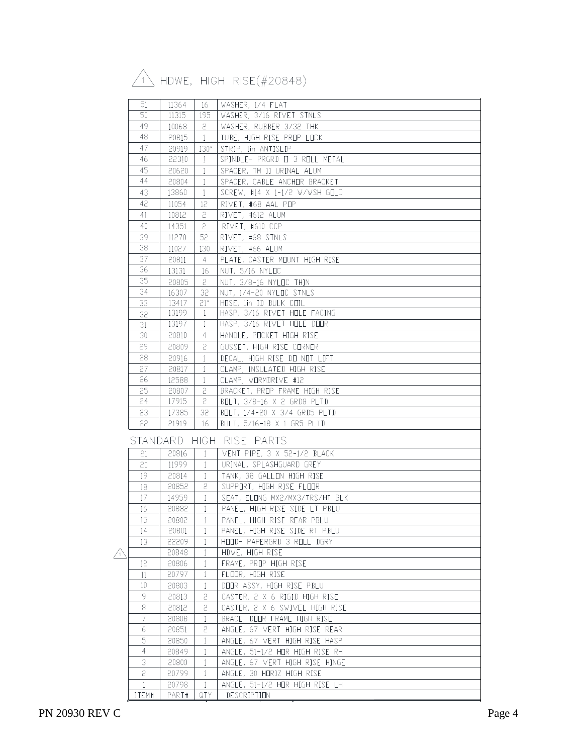# $\sqrt{1}$  HDWE, HIGH RISE(#20848)

| 51              | 11364 | -16             | WASHER, 1/4 FLAT               |
|-----------------|-------|-----------------|--------------------------------|
| 50              | 11315 | 195             | WASHER, 3/16 RIVET STNLS       |
| 49              | 10068 | $\mathsf{S}$    | WASHER, RUBBER 3/32 THK        |
| 48              | 20815 | $\perp$         | TUBE, HIGH RISE PROP LOCK      |
| 47              | 20919 | 130''           | STRIP, 1in ANTISLIP            |
| 46              | 22310 | $\mathbf{1}$    | SPINDLE- PRGRD II 3 ROLL METAL |
| 45              | 20620 | $\pm$           | SPACER, TM II URINAL ALUM      |
| 44              | 20804 | $\mathbf{1}$    | SPACER, CABLE ANCHOR BRACKET   |
| 43              | 13860 | $\mathbf{1}$    | SCREW, #14 X 1-1/2 W/WSH GOLD  |
| 42              | 11054 | 12 <sup>°</sup> | RIVET, #68 AAL POP             |
| 41              | 10812 | $\overline{c}$  | RIVET, #612 ALUM               |
| 40              | 14351 | 2               | RIVET, #610 CCP                |
| 39              | 11270 | 52              | RIVET, #68 STNLS               |
| 38              | 11027 | 130             | RIVET, #66 ALUM                |
| 37              | 20811 | 4               | PLATE, CASTER MOUNT HIGH RISE  |
| 36              | 13131 | 16              | NUT, 5/16 NYLOC                |
| 35              | 20805 | 2               | NUT, 3/8-16 NYLOC THIN         |
| 34              | 16307 | 32              | NUT, 1/4-20 NYLOC STNLS        |
| 33              | 13417 | 21''            | HOSE, 1in ID BULK COIL         |
| 32              | 13199 | $\mathbf{1}$    | HASP, 3/16 RIVET HOLE FACING   |
| 31              | 13197 | $\mathbf{1}$    | HASP, 3/16 RIVET HOLE DOOR     |
| 30              | 20810 | $\overline{4}$  | HANDLE, POCKET HIGH RISE       |
| 29              | 20809 | 2               | GUSSET, HIGH RISE CORNER       |
| 28              | 20916 | $\mathbf{1}$    | DECAL. HIGH RISE DO NOT LIFT   |
| 27              | 20817 | $\mathbf{1}$    | CLAMP, INSULATED HIGH RISE     |
| 26              | 12588 | $\mathbf{1}$    | CLAMP, WORMDRIVE #12           |
| 25              | 20807 | S               | BRACKET, PROP FRAME HIGH RISE  |
| 24              | 17915 | 5               | BOLT, 3/8-16 X 2 GRD8 PLTD     |
| 23              | 17385 | 32              | BOLT, 1/4-20 X 3/4 GRD5 PLTD   |
| 22              | 21919 | 16              | BOLT, 5/16-18 X 1 GR5 PLTD     |
|                 |       |                 |                                |
|                 |       |                 | STANDARD HIGH RISE PARTS       |
| 21              | 20816 | $\mathbf{1}$    | VENT PIPE, 3 X 52-1/2 BLACK    |
| 20              | 11999 | $\mathbf{1}$    | URINAL, SPLASHGUARD GREY       |
| 19              | 20814 | 1               | TANK, 38 GALLON HIGH RISE      |
| 18              | 20852 | 2               | SUPPORT, HIGH RISE FLOOR       |
| 17 <sup>°</sup> | 14959 | $\mathbf{1}$    | SEAT, ELONG MX2/MX3/TRS/HT BLK |
| 16              | 20882 | $\mathbf{1}$    | PANEL, HIGH RISE SIDE LT PBLU  |
| 15              | 20802 | $\mathbf{1}$    | PANEL, HIGH RISE REAR PBLU     |
| 14              | 20801 | $\mathbf{1}$    | PANEL, HIGH RISE SIDE RT PBLU  |
| 13              | 22209 | $\mathbf{1}$    | HOOD- PAPERGRD 3 ROLL DGRY     |
|                 | 20848 | $\mathbf{1}$    | HDWE, HIGH RISE                |
| 12              | 20806 | $\mathbf{1}$    | FRAME, PROP HIGH RISE          |
| 11              | 20797 | $\mathbf{1}$    | FLOOR, HIGH RISE               |
| 10              | 20803 | $\mathbf{1}$    | DOOR ASSY, HIGH RISE PBLU      |
| 9               | 20813 | 5               | CASTER, 2 X 6 RIGID HIGH RISE  |
| 8               | 20812 | 2               | CASTER, 2 X 6 SWIVEL HIGH RISE |
| 7               | 20808 | 1               | BRACE, DOOR FRAME HIGH RISE    |
| 6               | 20851 | 5               | ANGLE, 67 VERT HIGH RISE REAR  |
| 5               | 20850 | 1               | ANGLE, 67 VERT HIGH RISE HASP  |
| 4               | 20849 | 1               | ANGLE, 51-1/2 HOR HIGH RISE RH |
| 3               | 20800 | $\mathbf{1}$    | ANGLE, 67 VERT HIGH RISE HINGE |
| 5               | 20799 | 1               | ANGLE, 30 HORIZ HIGH RISE      |
| $\mathbf{1}$    | 20798 | 1               | ANGLE, 51-1/2 HDR HIGH RISE LH |
| ITEM#           | PART# | QTY             | DESCRIPTION                    |
|                 |       |                 |                                |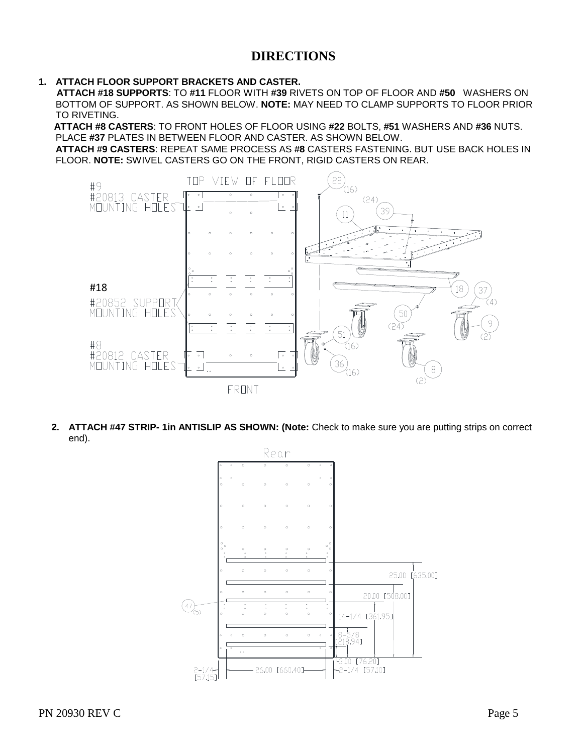### **DIRECTIONS**

**1. ATTACH FLOOR SUPPORT BRACKETS AND CASTER.**

**ATTACH #18 SUPPORTS**: TO **#11** FLOOR WITH **#39** RIVETS ON TOP OF FLOOR AND **#50** WASHERS ON BOTTOM OF SUPPORT. AS SHOWN BELOW. **NOTE:** MAY NEED TO CLAMP SUPPORTS TO FLOOR PRIOR TO RIVETING.

**ATTACH #8 CASTERS**: TO FRONT HOLES OF FLOOR USING **#22** BOLTS, **#51** WASHERS AND **#36** NUTS. PLACE **#37** PLATES IN BETWEEN FLOOR AND CASTER. AS SHOWN BELOW.

**ATTACH #9 CASTERS**: REPEAT SAME PROCESS AS **#8** CASTERS FASTENING. BUT USE BACK HOLES IN FLOOR. **NOTE:** SWIVEL CASTERS GO ON THE FRONT, RIGID CASTERS ON REAR.



**2. ATTACH #47 STRIP- 1in ANTISLIP AS SHOWN: (Note:** Check to make sure you are putting strips on correct end).

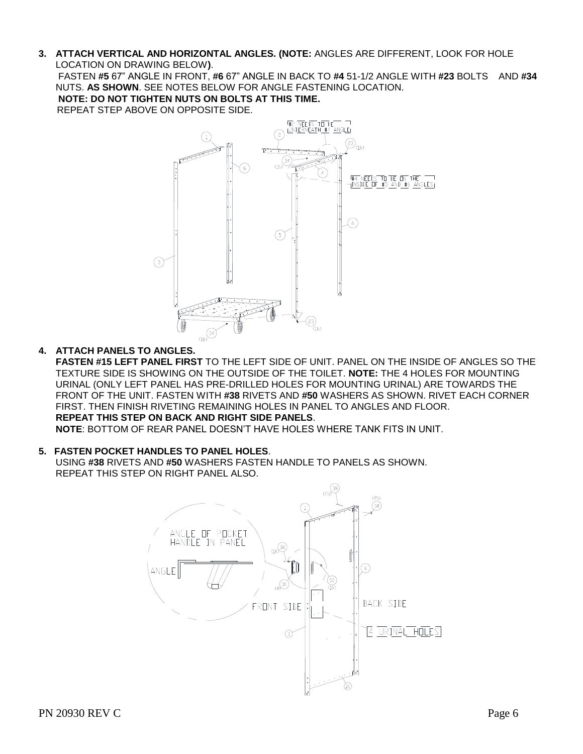**3. ATTACH VERTICAL AND HORIZONTAL ANGLES. (NOTE:** ANGLES ARE DIFFERENT, LOOK FOR HOLE LOCATION ON DRAWING BELOW**)**.

FASTEN **#5** 67" ANGLE IN FRONT, **#6** 67" ANGLE IN BACK TO **#4** 51-1/2 ANGLE WITH **#23** BOLTS AND **#34** NUTS. **AS SHOWN**. SEE NOTES BELOW FOR ANGLE FASTENING LOCATION.

**NOTE: DO NOT TIGHTEN NUTS ON BOLTS AT THIS TIME.** REPEAT STEP ABOVE ON OPPOSITE SIDE.



#### **4. ATTACH PANELS TO ANGLES.**

**FASTEN #15 LEFT PANEL FIRST** TO THE LEFT SIDE OF UNIT. PANEL ON THE INSIDE OF ANGLES SO THE TEXTURE SIDE IS SHOWING ON THE OUTSIDE OF THE TOILET. **NOTE:** THE 4 HOLES FOR MOUNTING URINAL (ONLY LEFT PANEL HAS PRE-DRILLED HOLES FOR MOUNTING URINAL) ARE TOWARDS THE FRONT OF THE UNIT. FASTEN WITH **#38** RIVETS AND **#50** WASHERS AS SHOWN. RIVET EACH CORNER FIRST. THEN FINISH RIVETING REMAINING HOLES IN PANEL TO ANGLES AND FLOOR. **REPEAT THIS STEP ON BACK AND RIGHT SIDE PANELS**.

**NOTE**: BOTTOM OF REAR PANEL DOESN'T HAVE HOLES WHERE TANK FITS IN UNIT.

#### **5. FASTEN POCKET HANDLES TO PANEL HOLES**. USING **#38** RIVETS AND **#50** WASHERS FASTEN HANDLE TO PANELS AS SHOWN. REPEAT THIS STEP ON RIGHT PANEL ALSO.

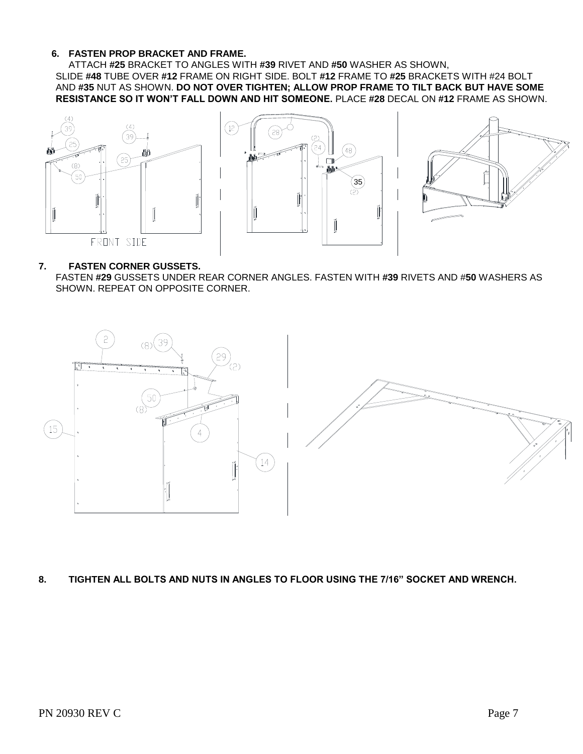#### **6. FASTEN PROP BRACKET AND FRAME.**

ATTACH **#25** BRACKET TO ANGLES WITH **#39** RIVET AND **#50** WASHER AS SHOWN, SLIDE **#48** TUBE OVER **#12** FRAME ON RIGHT SIDE. BOLT **#12** FRAME TO **#25** BRACKETS WITH #24 BOLT AND **#35** NUT AS SHOWN. **DO NOT OVER TIGHTEN; ALLOW PROP FRAME TO TILT BACK BUT HAVE SOME RESISTANCE SO IT WON'T FALL DOWN AND HIT SOMEONE.** PLACE **#28** DECAL ON **#12** FRAME AS SHOWN.







#### **7. FASTEN CORNER GUSSETS.**

FASTEN **#29** GUSSETS UNDER REAR CORNER ANGLES. FASTEN WITH **#39** RIVETS AND #**50** WASHERS AS SHOWN. REPEAT ON OPPOSITE CORNER.



#### **8. TIGHTEN ALL BOLTS AND NUTS IN ANGLES TO FLOOR USING THE 7/16" SOCKET AND WRENCH.**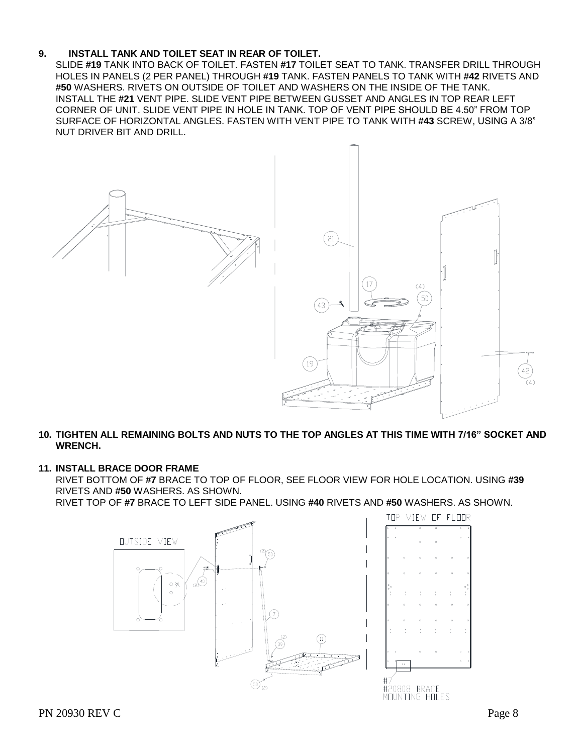#### **9. INSTALL TANK AND TOILET SEAT IN REAR OF TOILET.**

SLIDE **#19** TANK INTO BACK OF TOILET. FASTEN **#17** TOILET SEAT TO TANK. TRANSFER DRILL THROUGH HOLES IN PANELS (2 PER PANEL) THROUGH **#19** TANK. FASTEN PANELS TO TANK WITH **#42** RIVETS AND **#50** WASHERS. RIVETS ON OUTSIDE OF TOILET AND WASHERS ON THE INSIDE OF THE TANK. INSTALL THE **#21** VENT PIPE. SLIDE VENT PIPE BETWEEN GUSSET AND ANGLES IN TOP REAR LEFT CORNER OF UNIT. SLIDE VENT PIPE IN HOLE IN TANK. TOP OF VENT PIPE SHOULD BE 4.50" FROM TOP SURFACE OF HORIZONTAL ANGLES. FASTEN WITH VENT PIPE TO TANK WITH **#43** SCREW, USING A 3/8" NUT DRIVER BIT AND DRILL.





#### **10. TIGHTEN ALL REMAINING BOLTS AND NUTS TO THE TOP ANGLES AT THIS TIME WITH 7/16" SOCKET AND WRENCH.**

#### **11. INSTALL BRACE DOOR FRAME**

RIVET BOTTOM OF **#7** BRACE TO TOP OF FLOOR, SEE FLOOR VIEW FOR HOLE LOCATION. USING **#39** RIVETS AND **#50** WASHERS. AS SHOWN.

RIVET TOP OF **#7** BRACE TO LEFT SIDE PANEL. USING **#40** RIVETS AND **#50** WASHERS. AS SHOWN.

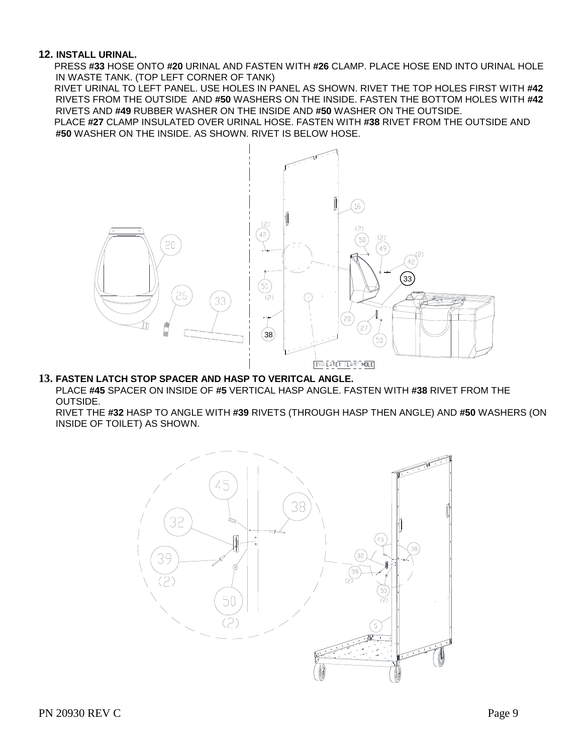#### **12. INSTALL URINAL.**

PRESS **#33** HOSE ONTO **#20** URINAL AND FASTEN WITH **#26** CLAMP. PLACE HOSE END INTO URINAL HOLE IN WASTE TANK. (TOP LEFT CORNER OF TANK)

 RIVET URINAL TO LEFT PANEL. USE HOLES IN PANEL AS SHOWN. RIVET THE TOP HOLES FIRST WITH **#42** RIVETS FROM THE OUTSIDE AND **#50** WASHERS ON THE INSIDE. FASTEN THE BOTTOM HOLES WITH **#42** RIVETS AND **#49** RUBBER WASHER ON THE INSIDE AND **#50** WASHER ON THE OUTSIDE.

 PLACE **#27** CLAMP INSULATED OVER URINAL HOSE. FASTEN WITH **#38** RIVET FROM THE OUTSIDE AND **#50** WASHER ON THE INSIDE. AS SHOWN. RIVET IS BELOW HOSE.



#### **13. FASTEN LATCH STOP SPACER AND HASP TO VERITCAL ANGLE.**

PLACE **#45** SPACER ON INSIDE OF **#5** VERTICAL HASP ANGLE. FASTEN WITH **#38** RIVET FROM THE OUTSIDE.

RIVET THE **#32** HASP TO ANGLE WITH **#39** RIVETS (THROUGH HASP THEN ANGLE) AND **#50** WASHERS (ON INSIDE OF TOILET) AS SHOWN.

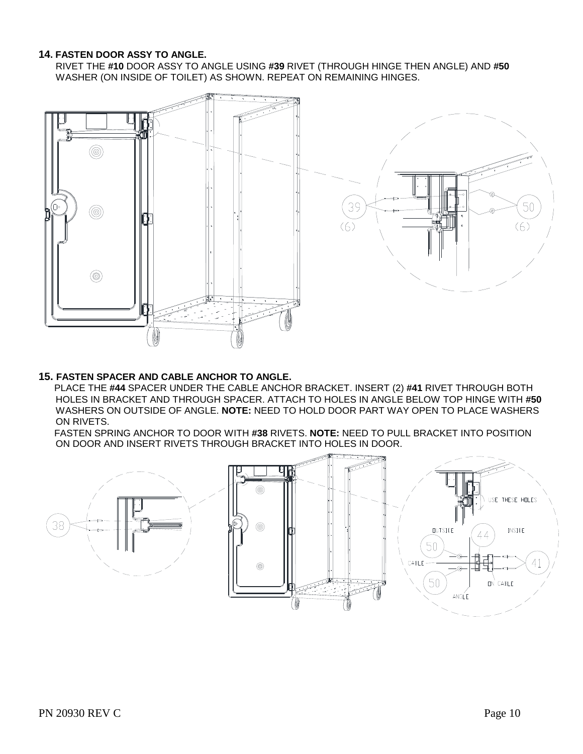#### **14. FASTEN DOOR ASSY TO ANGLE.**

RIVET THE **#10** DOOR ASSY TO ANGLE USING **#39** RIVET (THROUGH HINGE THEN ANGLE) AND **#50** WASHER (ON INSIDE OF TOILET) AS SHOWN. REPEAT ON REMAINING HINGES.



#### **15. FASTEN SPACER AND CABLE ANCHOR TO ANGLE.**

PLACE THE **#44** SPACER UNDER THE CABLE ANCHOR BRACKET. INSERT (2) **#41** RIVET THROUGH BOTH HOLES IN BRACKET AND THROUGH SPACER. ATTACH TO HOLES IN ANGLE BELOW TOP HINGE WITH **#50** WASHERS ON OUTSIDE OF ANGLE. **NOTE:** NEED TO HOLD DOOR PART WAY OPEN TO PLACE WASHERS ON RIVETS.

 FASTEN SPRING ANCHOR TO DOOR WITH **#38** RIVETS. **NOTE:** NEED TO PULL BRACKET INTO POSITION ON DOOR AND INSERT RIVETS THROUGH BRACKET INTO HOLES IN DOOR.